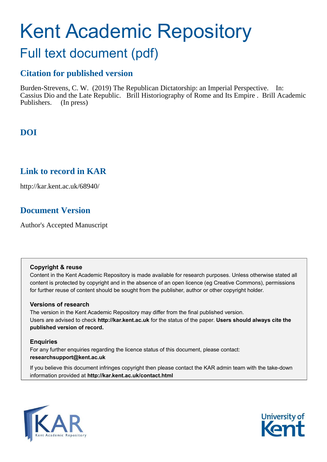# Kent Academic Repository

## Full text document (pdf)

## **Citation for published version**

Burden-Strevens, C. W. (2019) The Republican Dictatorship: an Imperial Perspective. In: Cassius Dio and the Late Republic. Brill Historiography of Rome and Its Empire . Brill Academic Publishers. (In press)

## **DOI**

## **Link to record in KAR**

http://kar.kent.ac.uk/68940/

## **Document Version**

Author's Accepted Manuscript

#### **Copyright & reuse**

Content in the Kent Academic Repository is made available for research purposes. Unless otherwise stated all content is protected by copyright and in the absence of an open licence (eg Creative Commons), permissions for further reuse of content should be sought from the publisher, author or other copyright holder.

#### **Versions of research**

The version in the Kent Academic Repository may differ from the final published version. Users are advised to check **http://kar.kent.ac.uk** for the status of the paper. **Users should always cite the published version of record.**

#### **Enquiries**

For any further enquiries regarding the licence status of this document, please contact: **researchsupport@kent.ac.uk**

If you believe this document infringes copyright then please contact the KAR admin team with the take-down information provided at **http://kar.kent.ac.uk/contact.html**



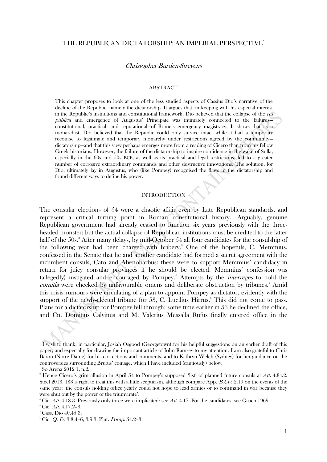#### THE REPUBLICAN DICTATORSHIP: AN IMPERIAL PERSPECTIVE\*

#### Christopher Burden-Strevens

#### ABSTRACT

This chapter proposes to look at one of the less studied aspects of Cassius Dio's narrative of the decline of the Republic, namely the dictatorship. It argues that, in keeping with his especial interest in the Republic's institutions and constitutional framework, Dio believed that the collapse of the res publica and emergence of Augustus' Principate was intimately connected to the failures constitutional, practical, and reputational—of Rome's emergency magistracy. It shows that as a monarchist, Dio believed that the Republic could only survive intact while it had a temporary recourse to legitimate and temporary monarchy under restrictions agreed by the community dictatorship—and that this view perhaps emerges more from a reading of Cicero than from his fellow Greek historians. However, the failure of the dictatorship to inspire confidence in the wake of Sulla, especially in the 60s and 50s BCE, as well as its practical and legal restrictions, led to a greater number of corrosive extraordinary commands and other destructive innovations. The solution, for Dio, ultimately lay in Augustus, who (like Pompey) recognised the flaws in the dictatorship and found different ways to define his power.

## INTRODUCTION

The consular elections of 54 were a chaotic affair even by Late Republican standards, and represent a critical turning point in Roman constitutional history.<sup>1</sup> Arguably, genuine Republican government had already ceased to function six years previously with the threeheaded monster; but the actual collapse of Republican institutions must be credited to the latter half of the 50s.<sup>2</sup> After many delays, by mid-October 54 all four candidates for the consulship of the following year had been charged with bribery.<sup>3</sup> One of the hopefuls, C. Memmius, confessed in the Senate that he and another candidate had formed a secret agreement with the incumbent consuls, Cato and Ahenobarbus: these were to support Memmius' candidacy in return for juicy consular provinces if he should be elected. Memmius' confession was (allegedly) instigated and encouraged by Pompey.<sup>4</sup> Attempts by the *interreges* to hold the comitia were checked by unfavourable omens and deliberate obstruction by tribunes.<sup>5</sup> Amid this crisis rumours were circulating of a plan to appoint Pompey as dictator, evidently with the support of the newly-elected tribune for  $53$ , C. Lucilius Hirrus. $\degree$  This did not come to pass. Plans for a dictatorship for Pompey fell through: some time earlier in 53 he declined the office, and Cn. Domitius Calvinus and M. Valerius Messalla Rufus finally entered office in the

<sup>\*</sup> I wish to thank, in particular, Josiah Osgood (Georgetown) for his helpful suggestions on an earlier draft of this paper, and especially for drawing the important article of John Ramsey to my attention. I am also grateful to Chris Baron (Notre Dame) for his corrections and comments, and to Kathryn Welch (Sydney) for her guidance on the controversies surrounding Brutus' coinage, which I have included (cautiously) below.

<sup>1</sup> So Arena 2012 1, n.2.

<sup>&</sup>lt;sup>2</sup> Hence Cicero's grim allusion in April 54 to Pompey's supposed 'list' of planned future consuls at Att. 4.8a.2. Steel 2013, 183 is right to treat this with a little scepticism, although compare App. B.Civ. 2.19 on the events of the same year: 'the consuls holding office yearly could not hope to lead armies or to command in war because they were shut out by the power of the triumvirate'.

<sup>&</sup>lt;sup>3</sup> Cic. Att. 4.18.3. Previously only three were implicated: see Att. 4.17. For the candidates, see Gruen 1969.

 $^4$  Cic. Att. 4.17.2-3.

<sup>5</sup> Cass. Dio 40.45.3.

 $\rm ^{6}$  Cic. *Q. Fr.* 3.8.4–6, 3.9.3; Plut. *Pomp.* 54.2–3.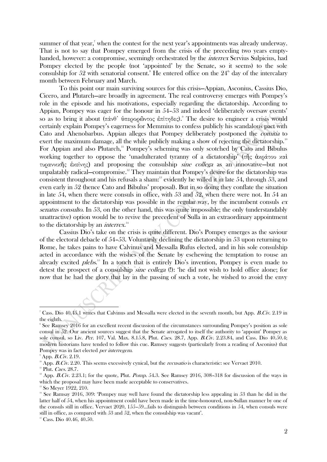summer of that year,<sup>7</sup> when the contest for the next year's appointments was already underway. That is not to say that Pompey emerged from the crisis of the preceding two years emptyhanded, however: a compromise, seemingly orchestrated by the *interrex* Servius Sulpicius, had Pompey elected by the people (not 'appointed' by the Senate, so it seems) to the sole consulship for 52 with senatorial consent.<sup>8</sup> He entered office on the  $24<sup>th</sup>$  day of the intercalary month between February and March.

To this point our main surviving sources for this crisis—Appian, Asconius, Cassius Dio, Cicero, and Plutarch—are broadly in agreement. The real controversy emerges with Pompey's role in the episode and his motivations, especially regarding the dictatorship. According to Appian, Pompey was eager for the honour in 54–53 and indeed 'deliberately oversaw events' so as to bring it about (πάνθ' ύπερορώντος έπιτηδες). The desire to engineer a crisis would certainly explain Pompey's eagerness for Memmius to confess publicly his scandalous pact with Cato and Ahenobarbus. Appian alleges that Pompey deliberately postponed the comitia to exert the maximum damage, all the while publicly making a show of rejecting the dictatorship.<sup>10</sup> For Appian and also Plutarch,<sup>11</sup> Pompey's scheming was only scotched by Cato and Bibulus working together to oppose the 'unadulterated tyranny of a dictatorship' (της άκράτου καὶ τυραννικής έχείνης) and proposing the consulship *sine collega* as an innovative—but not unpalatably radical—compromise.<sup>12</sup> They maintain that Pompey's desire for the dictatorship was consistent throughout and his refusals a sham:<sup>13</sup> evidently he willed it in late 54, through 53, and even early in 52 (hence Cato and Bibulus' proposal). But in so doing they conflate the situation in late 54, when there were consuls in office, with 53 and 52, when there were not. In 54 an appointment to the dictatorship was possible in the regular way, by the incumbent consuls  $ex$ senatus consulto. In 53, on the other hand, this was quite impossible; the only (understandably unattractive) option would be to revive the precedent of Sulla in an extraordinary appointment to the dictatorship by an *interrex*.<sup>14</sup>

Cassius Dio's take on the crisis is quite different. Dio's Pompey emerges as the saviour of the electoral debacle of 54–53. Voluntarily declining the dictatorship in 53 upon returning to Rome, he takes pains to have Calvinus and Messalla Rufus elected, and in his sole consulship acted in accordance with the wishes of the Senate by eschewing the temptation to rouse an already excited *plebs*.<sup>15</sup> In a touch that is entirely Dio's invention, Pompey is even made to detest the prospect of a consulship *sine collega* (!): 'he did not wish to hold office alone; for now that he had the glory that lay in the passing of such a vote, he wished to avoid the envy

<sup>&</sup>lt;sup>7</sup> Cass. Dio 40.45.1 writes that Calvinus and Messalla were elected in the seventh month, but App. *B.Civ.* 2.19 in the eighth.

<sup>8</sup> See Ramsey 2016 for an excellent recent discussion of the circumstances surrounding Pompey's position as sole consul in 52. Our ancient sources suggest that the Senate arrogated to itself the authority to 'appoint' Pompey as sole consul, so Liv. Per. 107, Val. Max. 8.15.8, Plut. Caes. 28.7, App. B.Civ. 2.23.84, and Cass. Dio 40.50.4; modern historians have tended to follow this cue. Ramsey suggests (particularly from a reading of Asconius) that Pompey was in fact elected per interregem.

 $^{\circ}$  App. *B.Civ.* 2.19.

<sup>&</sup>lt;sup>10</sup> App. *B.Civ.* 2.20. This seems excessively cynical, but the *recusatio* is characteristic: see Vervaet 2010.

 $\overline{11}$  Plut. *Caes.* 28.7.

<sup>&</sup>lt;sup>12</sup> App. *B.Civ.* 2.23.1; for the quote, Plut. *Pomp.* 54.3. See Ramsey 2016, 308-318 for discussion of the ways in which the proposal may have been made acceptable to conservatives.

<sup>&</sup>lt;sup>13</sup> So Meyer 1922, 210.

<sup>&</sup>lt;sup>14</sup> See Ramsay 2016, 309: 'Pompey may well have found the dictatorship less appealing in 53 than he did in the latter half of 54, when his appointment could have been made in the time-honoured, non-Sullan manner by one of the consuls still in office. Vervaet 2020, 155–59…fails to distinguish between conditions in 54, when consuls were still in office, as compared with 53 and 52, when the consulship was vacant'.

<sup>&</sup>lt;sup>15</sup> Cass. Dio 40.46, 40.50.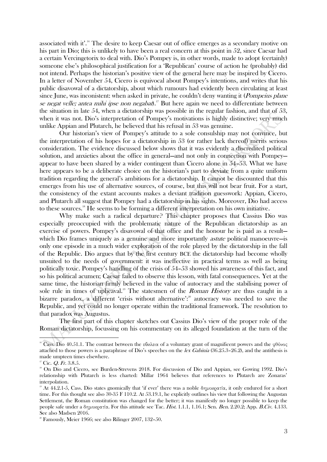associated with it'.<sup>16</sup> The desire to keep Caesar out of office emerges as a secondary motive on his part in Dio; this is unlikely to have been a real concern at this point in 52, since Caesar had a certain Vercingetorix to deal with. Dio's Pompey is, in other words, made to adopt (certainly) someone else's philosophical justification for a 'Republican' course of action he (probably) did not intend. Perhaps the historian's positive view of the general here may be inspired by Cicero. In a letter of November 54, Cicero is equivocal about Pompey's intentions, and writes that his public disavowal of a dictatorship, about which rumours had evidently been circulating at least since June, was inconistent: when asked in private, he couldn't deny wanting it (*Pompeius plane* se negat velle; antea mihi ipse non negabat).<sup>17</sup> But here again we need to differentiate between the situation in late 54, when a dictatorship was possible in the regular fashion, and that of 53, when it was not. Dio's interpretation of Pompey's motivations is highly distinctive; very much unlike Appian and Plutarch, he believed that his refusal in 53 was genuine.

Our historian's view of Pompey's attitude to a sole consulship may not convince, but the interpretation of his hopes for a dictatorship in 53 (or rather lack thereof) merits serious consideration. The evidence discussed below shows that it was evidently a discredited political solution, and anxieties about the office in general—and not only in connection with Pompey appear to have been shared by a wider contingent than Cicero alone in 54–53. What we have here appears to be a deliberate choice on the historian's part to deviate from a quite uniform tradition regarding the general's ambitions for a dictatorship. It cannot be discounted that this emerges from his use of alternative sources, of course, but this will not bear fruit. For a start, the consistency of the extant accounts makes a deviant tradition guesswork: Appian, Cicero, and Plutarch all suggest that Pompey had a dictatorship in his sights. Moreover, Dio had access to these sources.<sup>18</sup> He seems to be forming a different interpretation on his own initiative.

Why make such a radical departure? This chapter proposes that Cassius Dio was especially preoccupied with the problematic nature of the Republican dictatorship as an exercise of powers. Pompey's disavowal of that office and the honour he is paid as a result which Dio frames uniquely as a genuine and more importantly *astute* political manoeuvre—is only one episode in a much wider exploration of the role played by the dictatorship in the fall of the Republic. Dio argues that by the first century BCE the dictatorship had become wholly unsuited to the needs of government: it was ineffective in practical terms as well as being politically toxic. Pompey's handling of the crisis of 54–53 showed his awareness of this fact, and so his political acumen; Caesar failed to observe this lesson, with fatal consequences. Yet at the same time, the historian firmly believed in the value of autocracy and the stabilising power of sole rule in times of upheaval.<sup>19</sup> The statesmen of the *Roman History* are thus caught in a bizarre paradox, a different 'crisis without alternative':<sup>30</sup> autocracy was needed to save the Republic, and yet could no longer operate within the traditional framework. The resolution to that paradox was Augustus.

The first part of this chapter sketches out Cassius Dio's view of the proper role of the Roman dictatorship, focussing on his commentary on its alleged foundation at the turn of the

<sup>&</sup>lt;sup>16</sup> Cass. Dio 40.51.1. The contrast between the εύχλεια of a voluntary grant of magnificent powers and the φθόνος attached to those powers is a paraphrase of Dio's speeches on the lex Gabinia  $(36.25.3-26.2)$ , and the antithesis is made umpteen times elsewhere.

 $\rm{^{17}}$  Cic. Q. Fr. 3.8.5.

<sup>&</sup>lt;sup>18</sup> On Dio and Cicero, see Burden-Strevens 2018. For discussion of Dio and Appian, see Gowing 1992. Dio's relationship with Plutarch is less charted: Millar 1964 believes that references to Plutarch are Zonaras' interpolation.

<sup>&</sup>lt;sup>19</sup> At 44.2.1-5, Cass. Dio states gnomically that 'if ever' there was a noble δημοκρατία, it only endured for a short time. For this thought see also 30-35 F 110.2. At 53.19.1, he explicitly outlines his view that following the Augustan Settlement, the Roman constitution was changed for the better; it was manifestly no longer possible to keep the people safe under a δημοκρατία. For this attitude see Tac. Hist. 1.1.1, 1.16.1; Sen. Ben. 2.20.2; App. B.Civ. 4.133. See also Madsen 2016.

 $^{\circ}$  Famously, Meier 1966; see also Rilinger 2007, 132-50.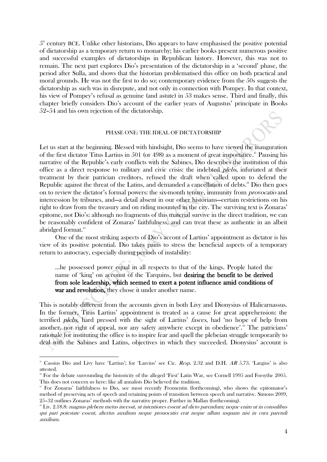$5<sup>th</sup>$  century BCE. Unlike other historians, Dio appears to have emphasised the positive potential of dictatorship as a temporary return to monarchy; his earlier books present numerous positive and successful examples of dictatorships in Republican history. However, this was not to remain. The next part explores Dio's presentation of the dictatorship in a 'second' phase, the period after Sulla, and shows that the historian problematised this office on both practical and moral grounds. He was not the first to do so; contemporary evidence from the 50s suggests the dictatorship as such was in disrepute, and not only in connection with Pompey. In that context, his view of Pompey's refusal as genuine (and astute) in 53 makes sense. Third and finally, this chapter briefly considers Dio's account of the earlier years of Augustus' principate in Books 52–54 and his own rejection of the dictatorship.

#### PHASE ONE: THE IDEAL OF DICTATORSHIP

Let us start at the beginning. Blessed with hindsight, Dio seems to have viewed the inauguration of the first dictator Titus Lartius in 501 (or 498) as a moment of great importance.<sup>21</sup> Pausing his narrative of the Republic's early conflicts with the Sabines, Dio describes the institution of this office as a direct response to military and civic crisis: the indebted plebs, infuriated at their treatment by their patrician creditors, refused the draft when called upon to defend the Republic against the threat of the Latins, and demanded a cancellation of debts.<sup>22</sup> Dio then goes on to review the dictator's formal powers: the six-month tenure, immunity from provocatio and intercession by tribunes, and—a detail absent in our other historians—certain restrictions on his right to draw from the treasury and on riding mounted in the city. The surviving text is Zonaras' epitome, not Dio's: although no fragments of this material survive in the direct tradition, we can be reasonably confident of Zonaras' faithfulness, and can treat these as authentic in an albeit abridged format.<sup>23</sup>

One of the most striking aspects of Dio's accont of Lartius' appointment as dictator is his view of its positive potential. Dio takes pains to stress the beneficial aspects of a temporary return to autocracy, especially during periods of instability:

…he possessed power equal in all respects to that of the kings. People hated the name of 'king' on account of the Tarquins, but desiring the benefit to be derived from sole leadership, which seemed to exert a potent influence amid conditions of war and revolution, they chose it under another name.

This is notably different from the accounts given in both Livy and Dionysius of Halicarnassus. In the former, Titus Lartius' appointment is treated as a cause for great apprehension: the terrified plebs, hard pressed with the sight of Lartius' fasces, had 'no hope of help from another, nor right of appeal, nor any safety anywhere except in obedience'.<sup>24</sup> The patricians' rationale for instituting the office is to inspire fear and quell the plebeian struggle temporarily to deal with the Sabines and Latins, objectives in which they succeeded. Dionysius' account is

<sup>&</sup>lt;sup>21</sup> Cassius Dio and Livy have 'Lartius'; for 'Larcius' see Cic. Resp. 2.32 and D.H. AR 5.73. 'Largius' is also attested.

 $2<sup>2</sup>$  For the debate surrounding the historicity of the alleged 'First' Latin War, see Cornell 1995 and Forsythe 2005. This does not concern us here: like all annalists Dio believed the tradition.

<sup>23</sup> For Zonaras' faithfulness to Dio, see most recently Fromentin (forthcoming), who shows the epitomator's method of preserving acts of speech and retaining points of transition between speech and narrative. Simons 2009, 25–32 outlines Zonaras' methods with the narrative proper. Further in Mallan (forthcoming).

<sup>24</sup> Liv. 2.18.8: magnus plebem metus incessit, ut intentiores essent ad dicto parendum; neque enim ut in consulibus qui pari potestate essent, alterius auxilium neque prouocatio erat neque ullum usquam nisi in cura parendi auxilium.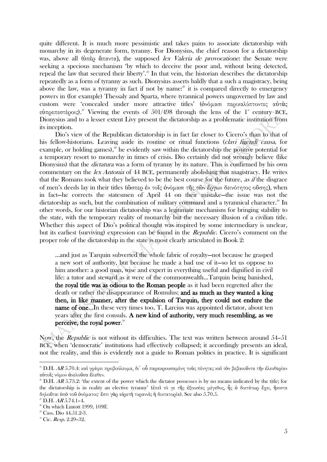quite different. It is much more pessimistic and takes pains to associate dictatorship with monarchy in its degenerate form, tyranny. For Dionysius, the chief reason for a dictatorship was, above all (ύπὲρ ἅπαντα), the supposed lex Valeria de provocatione: the Senate were seeking a specious mechanism 'by which to deceive the poor and, without being detected, repeal the law that secured their liberty'.<sup>25</sup> In that vein, the historian describes the dictatorship repeatedly as a form of tyranny as such. Dionysius asserts baldly that a such a magistracy, being above the law, was a tyranny in fact if not by name:<sup>26</sup> it is compared directly to emergency powers in (for example) Thessaly and Sparta, where tyrannical powers ungoverned by law and custom were 'concealed under more attractive titles' (ονόμασι περικαλύπτοντες αύτὰς  $ε\hat{\theta}$ πρεπεστέροις).<sup>27</sup> Viewing the events of 501/498 through the lens of the 1<sup>st</sup> century BCE, Dionysius and to a lesser extent Livy present the dictatorship as a problematic institution from its inception.

Dio's view of the Republican dictatorship is in fact far closer to Cicero's than to that of his fellow-historians. Leaving aside its routine or ritual functions (clavi figendi causa, for example, or holding games),<sup>28</sup> he evidently saw within the dictatorship the positive potential for a temporary resort to monarchy in times of crisis. Dio certainly did not wrongly believe (like Dionysius) that the *dictatura* was a form of tyranny by its nature. This is confirmed by his own commentary on the *lex Antonia* of 44 BCE, permanently abolishing that magistracy. He writes that the Romans took what they believed to be the best course for the future, as if the disgrace of men's deeds lay in their titles (ὥσπερ έν τοῖς ὀνόμασι τῆς τῶν ἔργων δεινότητος ούσης), when in fact—he corrects the statesmen of April 44 on their mistake—the issue was not the dictatorship as such, but the combination of military command and a tyrannical character.<sup>29</sup> In other words, for our historian dictatorship was a legitimate mechanism for bringing stability to the state, with the temporary reality of monarchy but the necessary illusion of a civilian title. Whether this aspect of Dio's political thought was inspired by some intermediary is unclear, but its earliest (surviving) expression can be found in the *Republic*. Cicero's comment on the proper role of the dictatorship in the state is most clearly articulated in Book 2:

…and just as Tarquin subverted the whole fabric of royalty—not because he grasped a new sort of authority, but because he made a bad use of it—so let us oppose to him another: a good man, wise and expert in everything useful and dignified in civil life: a tutor and steward as it were of the commonwealth…Tarquin being banished, the royal title was as odious to the Roman people as it had been regretted after the death or rather the disappearance of Romulus; and as much as they wanted a king then, in like manner, after the expulsion of Tarquin, they could not endure the name of one...In these very times too, T. Larcius was appointed dictator, about ten years after the first consuls. A new kind of authority, very much resembling, as we perceive, the royal power. $^{\text{\tiny{30}}}$ 

Now, the *Republic* is not without its difficulties. The text was written between around 54–51 BCE, when 'democratic' institutions had effectively collapsed; it accordingly presents an ideal, not the reality, and this is evidently not a guide to Roman politics in practice. It is significant

 $^{25}$  D.H. AR 5.70.4: καὶ γράφει προβούλευμα, δι' οὗ παρακρουσαμένη τοὺς πένητας καὶ τὸν βεβαιοῦντα τὴν ἐλευθερίαν αύτοις νόμον άνελούσα έλαθεν.

 $\stackrel{\text{\tiny{def}}{}}{D.H.} AR 5.73.2$ : 'the extent of the power which the dictator possesses is by no means indicated by the title; for the dictatorship is in reality an elective tyranny' (επεί το γε της εξουσίας μέγεθος, ής ο δικτάτωρ έγει, ήχιστα δηλοῦται ύπὸ τοῦ ὀνόματος· ἔστι γὰρ αίρετὴ τυραννίς ἡ δικτατορία). See also 5.70.5.

 $D.H. AR 5.74.1-4.$ 

 $28$  On which Lintott 1999, 109ff.

 $2^{\circ}$  Cass. Dio 44.51.2-3.

<sup>&</sup>lt;sup>30</sup> Cic. Resp. 2.29-32.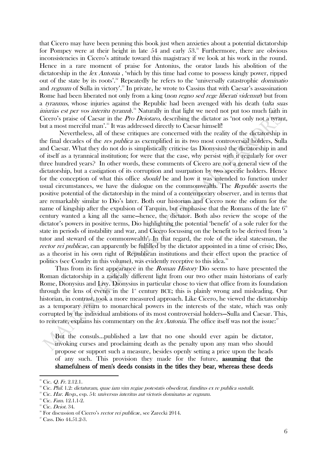that Cicero may have been penning this book just when anxieties about a potential dictatorship for Pompey were at their height in late  $54$  and early  $53$ .<sup>31</sup> Furthermore, there are obvious inconsistencies in Cicero's attitude toward this magistracy if we look at his work in the round. Hence in a rare moment of praise for Antonius, the orator lauds his abolition of the dictatorship in the *lex Antonia*, 'which by this time had come to possess kingly power, ripped out of the state by its roots'.<sup>32</sup> Repeatedly he refers to the 'universally catastrophic *dominatio* and *regnum* of Sulla in victory'.<sup>33</sup> In private, he wrote to Cassius that with Caesar's assassination Rome had been liberated not only from a king (*non regno sed rege liberati videmur*) but from a *tyrannus*, whose injuries against the Republic had been avenged with his death (*ulta suas* iniurias est per vos interitu tyranni.<sup>34</sup> Naturally in that light we need not put too much faith in Cicero's praise of Caesar in the Pro Deiotaro, describing the dictator as 'not only not a tyrant, but a most merciful man'.<sup>35</sup> It was addressed directly to Caesar himself!

Nevertheless, all of these critiques are concerned with the reality of the dictatorship in the final decades of the *res publica* as exemplified in its two most controversial holders, Sulla and Caesar. What they do not do is simplistically criticise (as Dionysius) the dictatorship in and of itself as a tyrannical institution; for were that the case, why persist with it regularly for over three hundred years? In other words, these comments of Cicero are not a general view of the dictatorship, but a castigation of its corruption and usurpation by two specific holders. Hence for the conception of what this office *should* be and how it was intended to function under usual circumstances, we have the dialogue on the commonwealth. The *Republic* asserts the positive potential of the dictatorship in the mind of a contemporary observer, and in terms that are remarkably similar to Dio's later. Both our historian and Cicero note the odium for the name of kingship after the expulsion of Tarquin, but emphasise that the Romans of the late  $6<sup>th</sup>$ century wanted a king all the same—hence, the dictator. Both also review the scope of the dictator's powers in positive terms, Dio highlighting the potential 'benefit' of a sole ruler for the state in periods of instability and war, and Cicero focussing on the benefit to be derived from 'a tutor and steward of the commonwealth'. In that regard, the role of the ideal statesman, the rector rei publicae, can apparently be fulfilled by the dictator appointed in a time of crisis; Dio, as a theorist in his own right of Republican institutions and their effect upon the practice of politics (see Coudry in this volume), was evidently receptive to this idea.<sup>36</sup>

Thus from its first appearance in the *Roman History* Dio seems to have presented the Roman dictatorship in a radically different light from our two other main historians of early Rome, Dionysius and Livy. Dionysius in particular chose to view that office from its foundation through the lens of events in the  $1^s$  century BCE; this is plainly wrong and misleading. Our historian, in contrast, took a more measured approach. Like Cicero, he viewed the dictatorship as a temporary return to monarchical powers in the interests of the state, which was only corrupted by the individual ambitions of its most controversial holders—Sulla and Caesar. This, to reiterate, explains his commentary on the *lex Antonia*. The office itself was not the issue: $37$ 

But the consuls…published a law that no one should ever again be dictator, invoking curses and proclaiming death as the penalty upon any man who should propose or support such a measure, besides openly setting a price upon the heads of any such. This provision they made for the future, assuming that the shamefulness of men's deeds consists in the titles they bear, whereas these deeds

Cic. *Q. Fr.* 2.12.1.

<sup>32</sup> Cic. Phil. 1.2: dictaturam, quae iam vim regiae potestatis obsederat, funditus ex re publica sustulit.

<sup>33</sup> Cic. Har. Resp., esp. 54: universus interitus aut victoris dominatus ac regnum.

Cic. Fam. 12.1.1-2.

Cic. Deiot. 34.

<sup>&</sup>lt;sup>36</sup> For discussion of Cicero's *rector rei publica*e, see Zarecki 2014.

<sup>&</sup>lt;sup>37</sup> Cass. Dio 44.51.2-3.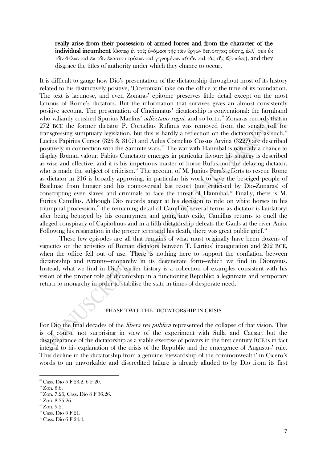really arise from their possession of armed forces and from the character of the individual incumbent (ώσπερ έν τοῖς ὀνόμασι τῆς τῶν ἔργων δεινότητος ούσης, ἀλλ' ούκ έκ τῶν ὅπλων καὶ ἐκ τῶν ἑκάστου τρόπων καὶ γιγνομένων αὐτῶν καὶ τὰς τῆς ἐξουσίας), and they disgrace the titles of authority under which they chance to occur.

It is difficult to gauge how Dio's presentation of the dictatorship throughout most of its history related to his distinctively positive, 'Ciceronian' take on the office at the time of its foundation. The text is lacunose, and even Zonaras' epitome preserves little detail except on the most famous of Rome's dictators. But the information that survives gives an almost consistently positive account. The presentation of Cincinnatus' dictatorship is conventional: the farmhand who valiantly crushed Spurius Maelius' *adfectatio regni*, and so forth.<sup>38</sup> Zonaras records that in 272 BCE the former dictator P. Cornelius Rufinus was removed from the senate roll for transgressing sumptuary legislation, but this is hardly a reflection on the dictatorship as such.<sup>39</sup> Lucius Papirius Cursor (325 & 310?) and Aulus Cornelius Cossus Arvina (322?) are described positively in connection with the Samnite wars.<sup>40</sup> The war with Hannibal is naturally a chance to display Roman valour. Fabius Cunctator emerges in particular favour: his strategy is described as wise and effective, and it is his impetuous master of horse Rufus, not the delaying dictator, who is made the subject of criticism.<sup>41</sup> The account of M. Junius Pera's efforts to rescue Rome as dictator in 216 is broadly approving, in particular his work to save the beseiged people of Basilinae from hunger and his controversial last resort (not criticised by Dio-Zonaras) of conscripting even slaves and criminals to face the threat of Hannibal.<sup>42</sup> Finally, there is M. Furius Camillus. Although Dio records anger at his decision to ride on white horses in his triumphal procession,<sup>43</sup> the remaining detail of Camillus' several terms as dictator is laudatory: after being betrayed by his countrymen and going into exile, Camillus returns to quell the alleged conspiracy of Capitolinus and in a fifth dictatorship defeats the Gauls at the river Anio. Following his resignation in the proper term and his death, there was great public grief.<sup>44</sup>

These few episodes are all that remains of what must originally have been dozens of vignettes on the activities of Roman dictators between T. Lartius' inauguration and 202 BCE, when the office fell out of use. There is nothing here to support the conflation between dictatorship and tyranny—monarchy in its degenerate form—which we find in Dionysius. Instead, what we find in Dio's earlier history is a collection of examples consistent with his vision of the proper role of dictatorship in a functioning Republic: a legitimate and temporary return to monarchy in order to stabilise the state in times of desperate need.

#### PHASE TWO: THE DICTATORSHIP IN CRISIS

For Dio the final decades of the *libera res publica* represented the collapse of that vision. This is of course not surprising in view of the experiment with Sulla and Caesar; but the disappearance of the dictatorship as a viable exercise of powers in the first century BCE is in fact integral to his explanation of the crisis of the Republic and the emergence of Augustus' rule. This decline in the dictatorship from a genuine 'stewardship of the commonwealth' in Cicero's words to an unworkable and discredited failure is already alluded to by Dio from its first

Cass. Dio 5 F 23.2, 6 F 20.

 $^\text{\tiny{\textregistered}}$  Zon. 8.6.

<sup>&</sup>lt;sup>40</sup> Zon. 7.26, Cass. Dio 8 F 36.26.

 $41$  Zon. 8.25-26.

 $42$  Zon. 9.2.

 $^{43}$  Cass. Dio 6 F 21.

<sup>&</sup>lt;sup>44</sup> Cass. Dio 6 F 24.4.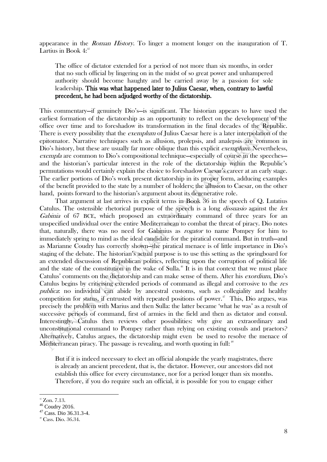appearance in the Roman History. To linger a moment longer on the inauguration of T. Lartius in Book  $4:45$ 

The office of dictator extended for a period of not more than six months, in order that no such official by lingering on in the midst of so great power and unhampered authority should become haughty and be carried away by a passion for sole leadership. This was what happened later to Julius Caesar, when, contrary to lawful precedent, he had been adjudged worthy of the dictatorship.

This commentary—if genuinely Dio's—is significant. The historian appears to have used the earliest formation of the dictatorship as an opportunity to reflect on the development of the office over time and to foreshadow its transformation in the final decades of the Republic. There is every possibility that the *exemplum* of Julius Caesar here is a later interpolation of the epitomator. Narrative techniques such as allusion, prolepsis, and analepsis are common in Dio's history, but these are usually far more oblique than this explicit *exemplum*. Nevertheless, exempla are common to Dio's compositional technique—especially of course in the speeches and the historian's particular interest in the role of the dictatorship within the Republic's permutations would certainly explain the choice to foreshadow Caesar's career at an early stage. The earlier portions of Dio's work present dictatorship in its proper form, adducing examples of the benefit provided to the state by a number of holders; the allusion to Caesar, on the other hand, points forward to the historian's argument about its degenerative role.

That argument at last arrives in explicit terms in Book 36 in the speech of Q. Lutatius Catulus. The ostensible rhetorical purpose of the speech is a long *dissuasio* against the *lex* Gabinia of 67 BCE, which proposed an extraordinary command of three years for an unspecified undividual over the entire Mediterranean to combat the threat of piracy. Dio notes that, naturally, there was no need for Gabinius as rogator to name Pompey for him to immediately spring to mind as the ideal candidate for the piratical command. But in truth—and as Marianne Coudry has correctly shown—the piratical menace is of little importance in Dio's staging of the debate. The historian's actual purpose is to use this setting as the springboard for an extended discussion of Republican politics, reflecting upon the corruption of political life and the state of the constitution in the wake of Sulla.<sup>46</sup> It is in that context that we must place Catulus' comments on the dictatorship and can make sense of them. After his exordium, Dio's Catulus begins by criticising extended periods of command as illegal and corrosive to the res publica: no individual can abide by ancestral customs, such as collegiality and healthy competition for status, if entrusted with repeated positions of power.<sup>47</sup> This, Dio argues, was precisely the problem with Marius and then Sulla: the latter became 'what he was' as a result of successive periods of command, first of armies in the field and then as dictator and consul. Interestingly, Catulus then reviews other possibilities: why give an extraordinary and unconstitutional command to Pompey rather than relying on existing consuls and praetors? Alternatively, Catulus argues, the dictatorship might even be used to resolve the menace of Mediterranean piracy. The passage is revealing, and worth quoting in full:<sup>48</sup>

But if it is indeed necessary to elect an official alongside the yearly magistrates, there is already an ancient precedent, that is, the dictator. However, our ancestors did not establish this office for every circumstance, nor for a period longer than six months. Therefore, if you do require such an official, it is possible for you to engage either

 $\mathrm{^{45}Zon.}$  7.13.

 $46$  Coudry 2016.

 $47$  Cass. Dio 36.31.3-4.

<sup>48</sup> Cass. Dio. 36.34.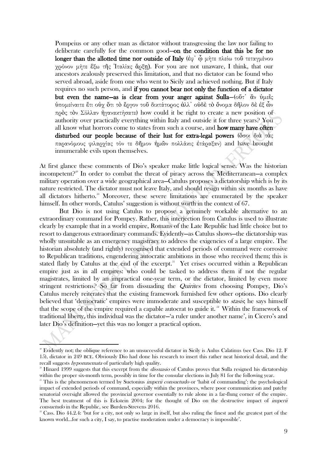Pompeius or any other man as dictator without transgressing the law nor failing to deliberate carefully for the common good—on the condition that this be for no longer than the allotted time nor outside of Italy (έφ'  $\tilde{\omega}$  μήτε πλείω τοῦ τεταγμένου  $\gamma$ ρόνον μήτε έξω της Ίταλίας ἄρξη). For you are not unaware, I think, that our ancestors zealously preserved this limitation, and that no dictator can be found who served abroad, aside from one who went to Sicily and achieved nothing. But if Italy requires no such person, and if you cannot bear not only the function of a dictator but even the name—as is clear from your anger against Sulla— $(\vec{\omega} \vec{\tau})$   $\alpha \vec{\omega}$   $\vec{\omega}$ υπομείναιτε έτι ούχ ότι τὸ έργον τοῦ δικτάτορος ἀλλ' ούδὲ τὸ ὄνομα δῆλον δὲ ἐξ ὧν πρός τον Σύλλαν ήγανακτήσατε) how could it be right to create a new position of authority over practically everything within Italy and outside it for three years? You all know what horrors come to states from such a course, and **how many have often** disturbed our people because of their lust for extra-legal powers (ὅσοι διὰ τὰς παρανόμους φιλαργίας τόν τε δημον ήμῶν πολλάκις έτάραξαν) and have brought innumerable evils upon themselves.

At first glance these comments of Dio's speaker make little logical sense. Was the historian incompetent?<sup>49</sup> In order to combat the threat of piracy across the Mediterranean—a complex military operation over a wide geographical area—Catulus proposes a dictatorship which is by its nature restricted. The dictator must not leave Italy, and should resign within six months as have all dictators hitherto.<sup>50</sup> Moreover, these severe limitations are enumerated by the speaker himself. In other words, Catulus' suggestion is without worth in the context of 67.

But Dio is not using Catulus to propose a genuinely workable alternative to an extraordinary command for Pompey. Rather, this interjection from Catulus is used to illustrate clearly by example that in a world empire, Romans of the Late Republic had little choice but to resort to dangerous extraordinary commands. Evidently—as Catulus shows—the dictatorship was wholly unsuitable as an emergency magistracy to address the exigencies of a large empire. The historian absolutely (and rightly) recognised that extended periods of command were corrosive to Republican traditions, engendering autocratic ambitions in those who received them; this is stated flatly by Catulus at the end of the excerpt.<sup>51</sup> Yet crises occurred within a Republican empire just as in all empires: who could be tasked to address them if not the regular magistrates, limited by an impractical one-year term, or the dictator, limited by even more stringent restrictions? So far from dissuading the Quirites from choosing Pompey, Dio's Catulus merely reiterates that the existing framework furnished few other options. Dio clearly believed that 'democratic' empires were immoderate and susceptible to *stasis*; he says himself that the scope of the empire required a capable autocrat to guide it.<sup>52</sup> Within the framework of traditional liberty, this individual was the dictator—'a ruler under another name', in Cicero's and later Dio's definition—yet this was no longer a practical option.

<sup>49</sup> Evidently not; the oblique reference to an unsuccessful dictator in Sicily is Aulus Calatinus (see Cass. Dio 12. F 15), dictator in 249 BCE. Obviously Dio had done his research to insert this rather neat historical detail, and the recall suggests hypomnemata of particularly high quality.

<sup>&</sup>lt;sup>®</sup> Hinard 1999 suggests that this excerpt from the *dissuasio* of Catulus proves that Sulla resigned his dictatorship within the proper six-month term, possibly in time for the consular elections in July 81 for the following year.

<sup>&</sup>lt;sup>31</sup> This is the phenomenon termed by Suetonius *imperii consuetudo* or 'habit of commanding': the psychological impact of extended periods of command, especially within the provinces, where poor communication and patchy senatorial oversight allowed the provincial governor essentially to rule alone in a far-flung corner of the empire. The best treatment of this is Eckstein 2004; for the thought of Dio on the destructive impact of *imperii* consuetudo in the Republic, see Burden-Strevens 2016.

<sup>&</sup>lt;sup>22</sup> Cass. Dio 44.2.4: 'but for a city, not only so large in itself, but also ruling the finest and the greatest part of the known world…for such a city, I say, to practise moderation under a democracy is impossible'.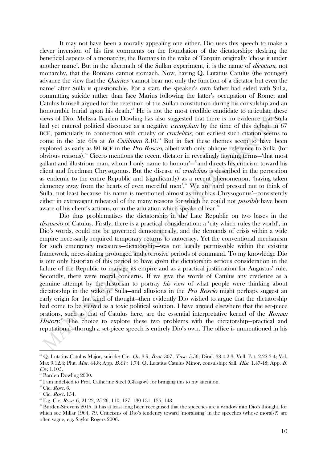It may not have been a morally appealing one either. Dio uses this speech to make a clever inversion of his first comments on the foundation of the dictatorship: desiring the beneficial aspects of a monarchy, the Romans in the wake of Tarquin originally 'chose it under another name'. But in the aftermath of the Sullan experiment, it is the name of *dictatura*, not monarchy, that the Romans cannot stomach. Now, having Q. Lutatius Catulus (the younger) advance the view that the *Quirites* 'cannot bear not only the function of a dictator but even the name' after Sulla is questionable. For a start, the speaker's own father had sided with Sulla, committing suicide rather than face Marius following the latter's occupation of Rome; and Catulus himself argued for the retention of the Sullan constitution during his consulship and an honourable burial upon his death.<sup>53</sup> He is not the most credible candidate to articulate these views of Dio. Melissa Barden Dowling has also suggested that there is no evidence that Sulla had yet entered political discourse as a negative *exemplum* by the time of this debate in 67 BCE, particularly in connection with cruelty or *crudelitas*; our earliest such citation seems to come in the late 60s at In Catilinam 3.10.<sup>54</sup> But in fact these themes seem to have been explored as early as 80 BCE in the *Pro Roscio*, albeit with only oblique reference to Sulla (for obvious reasons).<sup>55</sup> Cicero mentions the recent dictator in revealingly fawning terms—'that most gallant and illustrious man, whom I only name to honour'— $\delta$  and directs his criticism toward his client and freedman Chrysogonus. But the disease of *crudelitas* is described in the peroration as endemic to the entire Republic and (significantly) as a recent phenomenon, 'having taken clemency away from the hearts of even merciful men'.<sup>57</sup> We are hard pressed not to think of Sulla, not least because his name is mentioned almost as much as Chrysogonus'—consistently either in extravagant rehearsal of the many reasons for which he could not *possibly* have been aware of his client's actions, or in the adulation which speaks of fear.<sup>58</sup>

Dio thus problematises the dictatorship in the Late Republic on two bases in the dissuasio of Catulus. Firstly, there is a practical consideration: a 'city which rules the world', in Dio's words, could not be governed democratically, and the demands of crisis within a wide empire necessarily required temporary returns to autocracy. Yet the conventional mechanism for such emergency measures—dictatorship—was not legally permissable within the existing framework, necessitating prolonged and corrosive periods of command. To my knowledge Dio is our only historian of this period to have given the dictatorship serious consideration in the failure of the Republic to manage its empire and as a practical justification for Augustus' rule. Secondly, there were moral concerns. If we give the words of Catulus any credence as a genuine attempt by the historian to portray *his* view of what people were thinking about dictatorship in the wake of Sulla—and allusions in the *Pro Roscio* might perhaps suggest an early origin for that kind of thought—then evidently Dio wished to argue that the dictatorship had come to be viewed as a toxic political solution. I have argued elsewhere that the set-piece orations, such as that of Catulus here, are the essential interpretative kernel of the Roman History.<sup>39</sup> The choice to explore these two problems with the dictatorship-practical and reputational—thorugh a set-piece speech is entirely Dio's own. The office is unmentioned in his

<sup>53</sup> Q. Lutatius Catulus Major, suicide: Cic. Or. 3.9, Brut. 307, Tusc. 5.56; Diod. 38.4.2-3; Vell. Pat. 2.22.3-4; Val. Max 9.12.4; Plut. Mar. 44.8; App. B.Civ. 1.74. Q. Lutatius Catulus Minor, consulship: Sall. Hist. 1.47-48; App. B. Civ. 1.105.

<sup>&</sup>lt;sup>54</sup> Barden Dowling 2000.

<sup>&</sup>lt;sup>55</sup> I am indebted to Prof. Catherine Steel (Glasgow) for bringing this to my attention.

Cic. Rosc. 6.

<sup>&</sup>lt;sup>57</sup> Cic. *Rosc.* 154.

<sup>&</sup>lt;sup>38</sup> E.g. Cic. *Rosc.* 6, 21-22, 25-26, 110, 127, 130-131, 136, 143.

<sup>59</sup> Burden-Strevens 2015. It has at least long been recognised that the speeches are a window into Dio's thought, for which see Millar 1964, 79. Criticisms of Dio's tendency toward 'moralising' in the speeches (whose morals?) are often vague, e.g. Saylor Rogers 2006.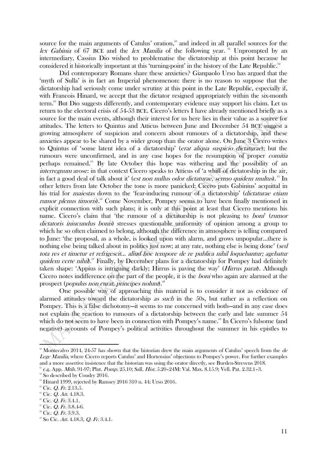source for the main arguments of Catulus' oration, $60$  and indeed in all parallel sources for the lex Gabinia of 67 BCE and the lex Manilia of the following year.  $61$  Unprompted by an intermediary, Cassius Dio wished to problematise the dictatorship at this point because he considered it historically important at this 'turning-point' in the history of the Late Republic.<sup>62</sup>

Did contemporary Romans share these anxieties? Gianpaolo Urso has argued that the 'myth of Sulla' is in fact an Imperial phenomenon: there is no reason to suppose that the dictatorship had seriously come under scrutiny at this point in the Late Republic, especially if, with Francois Hinard, we accept that the dictator resigned appropriately within the six-month term.<sup>63</sup> But Dio suggests differently, and contemporary evidence may support his claim. Let us return to the electoral crisis of 54-53 BCE. Cicero's letters I have already mentioned briefly as a source for the main events, although their interest for us here lies in their value as a source for attitudes. The letters to Quintus and Atticus between June and December 54 BCE suggest a growing atmosphere of suspicion and concern about rumours of a dictatorship, and these anxieties appear to be shared by a wider group than the orator alone. On June 3 Cicero writes to Quintus of 'some latent idea of a dictatorship' (erat aliqua suspicio dictaturae); but the rumours were unconfirmed, and in any case hopes for the resumption of proper comitia perhaps remained.<sup>64</sup> By late October this hope was withering and the possibility of an interregnum arose: in that context Cicero speaks to Atticus of 'a whiff of dictatorship in the air, in fact a good deal of talk about it' (est non nullus odor dictaturae, sermo quidem multus).<sup>65</sup> In other letters from late October the tone is more panicked: Cicero puts Gabinius' acquittal in his trial for *maiestas* down to the 'fear-inducing rumour of a dictatorship' (*dictaturae etiam*) rumor plenus timoris).<sup>66</sup> Come November, Pompey seems to have been finally mentioned in explicit connection with such plans; it is only at this point at least that Cicero mentions his name. Cicero's claim that 'the rumour of a dictatorship is not pleasing to *boni*' (rumor dictatoris iniucundus bonis) stresses questionable uniformity of opinion among a group to which he so often claimed to belong, although the difference in atmosphere is telling compared to June: 'the proposal, as a whole, is looked upon with alarm, and grows unpopular…there is nothing else being talked about in politics just now; at any rate, nothing else is being done' (sed tota res et timetur et refrigescit… aliud hoc tempore de re publica nihil loquebantur; agebatur quidem certe nihil).<sup>67</sup> Finally, by December plans for a dictatorship for Pompey had definitely taken shape: 'Appius is intriguing darkly; Hirrus is paving the way' (*Hirrus parat*). Although Cicero notes indifference on the part of the people, it is the boni who again are alarmed at the prospect (*populus non curat, principes nolunt*).<sup>68</sup>

One possible way of approaching this material is to consider it not as evidence of alarmed attitudes toward the dictatorship as such in the 50s, but rather as a reflection on Pompey. This is a false dichotomy—it seems to me concerned with both—and in any case does not explain the reaction to rumours of a dictatorship between the early and late summer 54 which do not seem to have been in connection with Pompey's name.<sup>69</sup> In Cicero's fulsome (and negative) accounts of Pompey's political activities throughout the summer in his epistles to

<sup>&</sup>lt;sup>®</sup> Montecalvo 2014, 24-57 has shown that the historian drew the main arguments of Catulus' speech from the de Lege Manilia, where Cicero reports Catulus' and Hortensius' objections to Pompey's power. For further examples and a more assertive insistence that the historian was using the orator directly, see Burden-Strevens 2018.

 $^{61}$  e.g. App. *Mtih.* 91-97; Plut. *Pomp.* 25.10; Sall. *Hist.* 5.20–24M: Val. Max. 8.15.9; Vell. Pat. 2.32.1–3.

 $\approx$  So described by Coudry 2016.

<sup>&</sup>lt;sup>63</sup> Hinard 1999, rejected by Ramsey 2016 310 n. 44; Urso 2016.

 $\,$  Gic.  $Q.$  Fr. 2.13.5.

 $\mathrm{Gic.}$  Q. Att. 4.18.3.

 $66$  Cic. *Q. Fr.* 3.4.1.

 $\textdegree$  Cic. *Q. Fr.* 3.8.4-6.

 $^{\circ\circ}$  Cic. *Q. Fr.* 3.9.3.

 $\text{69}$  So Cic. Att. 4.18.3, Q. Fr. 3.4.1.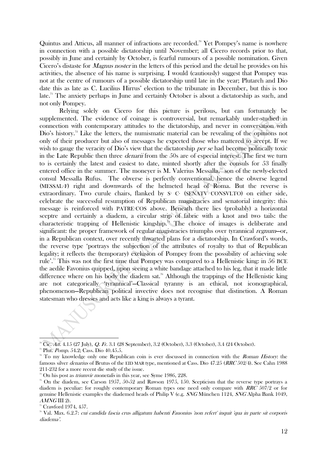Quintus and Atticus, all manner of infractions are recorded.<sup>70</sup> Yet Pompey's name is nowhere in connection with a possible dictatorship until November; all Cicero records prior to that, possibly in June and certainly by October, is fearful rumours of a possible nomination. Given Cicero's distaste for *Magnus noster* in the letters of this period and the detail he provides on his activities, the absence of his name is surprising. I would (cautiously) suggest that Pompey was not at the centre of rumours of a possible dictatorship until late in the year; Plutarch and Dio date this as late as C. Lucilius Hirrus' election to the tribunate in December, but this is too late.<sup>71</sup> The anxiety perhaps in June and certainly October is about a dictatorship as such, and not only Pompey.

Relying solely on Cicero for this picture is perilous, but can fortunately be supplemented. The evidence of coinage is controversial, but remarkably under-studied in connection with contemporary attitudes to the dictatorship, and never in conversation with Dio's history.<sup>72</sup> Like the letters, the numismatic material can be revealing of the opinions not only of their producer but also of messages he expected those who mattered to accept. If we wish to gauge the veracity of Dio's view that the dictatorship *per se* had become politically toxic in the Late Republic then three *denarii* from the 50s are of especial interest. The first we turn to is certainly the latest and easiest to date, minted shortly after the consuls for 53 finally entered office in the summer. The moneyer is M. Valerius Messalla,<sup>73</sup> son of the newly-elected consul Messalla Rufus. The obverse is perfectly conventional, hence the obverse legend (MESSAL·F) right and downwards of the helmeted head of Roma. But the reverse is extraordinary. Two curule chairs, flanked by S· C· (SENATV CONSVLTO) on either side, celebrate the successful resumption of Republican magistracies and senatorial integrity: this message is reinforced with PATRE COS above. Beneath there lies (probably) a horizontal sceptre and certainly a diadem, a circular strip of fabric with a knot and two tails: the characteristic trapping of Hellenistic kingship.<sup>74</sup> The choice of images is deliberate and significant: the proper framework of regular magistracies triumphs over tyrannical regnum-or, in a Republican context, over recently thwarted plans for a dictatorship. In Crawford's words, the reverse type 'portrays the subjection of the attributes of royalty to that of Republican legality; it reflects the (temporary) exclusion of Pompey from the possibility of achieving sole rule'.<sup>75</sup> This was not the first time that Pompey was compared to a Hellenistic king: in 56 BCE the aedile Favonius quipped, upon seeing a white bandage attached to his leg, that it made little difference where on his body the diadem sat.<sup>76</sup> Although the trappings of the Hellenistic king are not categorically 'tyrannical'—Classical tyranny is an ethical, not iconographical, phenomenon—Republican political invective does not recognise that distinction. A Roman statesman who dresses and acts like a king is always a tyrant.

<sup>70</sup> Cic. Att. 4.15 (27 July), Q. Fr. 3.1 (28 September), 3.2 (October), 3.3 (October), 3.4 (24 October).

<sup>&</sup>lt;sup>71</sup> Plut. Pomp. 54.2; Cass. Dio 40.45.5.

 $72$  To my knowledge only one Republican coin is ever discussed in connection with the Roman History: the famous silver denarius of Brutus of the EID MAR type, mentioned at Cass. Dio 47.25 (RRC 502/4). See Cahn 1988 211-232 for a more recent die study of the issue.

 $78$  On his post as *triumvir monetalis* in this year, see Syme 1986, 228.

<sup>&</sup>lt;sup>74</sup> On the diadem, see Carson 1957, 50-52 and Rawson 1975, 150. Scepticism that the reverse type portrays a diadem is peculiar: for roughly contemporary Roman types one need only compare with RRC 507/2 or for genuine Hellenistic examples the diademed heads of Philip V (e.g.  $SNG$  München 1124,  $SNG$  Alpha Bank 1049, AMNG III 2).

<sup>&</sup>lt;sup>75</sup> Crawford 1974, 457.

<sup>76</sup> Val. Max. 6.2.7: cui candida fascia crus alligatum habenti Fauonius 'non refert' inquit 'qua in parte sit corporis diadema'.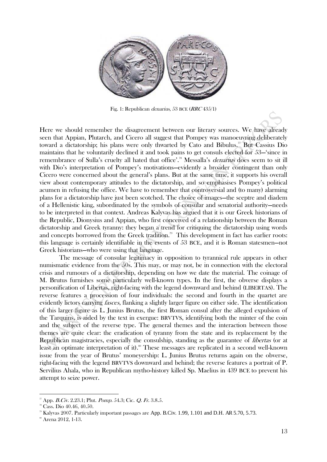

Fig. 1: Republican denarius, 53 BCE (RRC 435/1)

Here we should remember the disagreement between our literary sources. We have already seen that Appian, Plutarch, and Cicero all suggest that Pompey was manoeuvring deliberately toward a dictatorship; his plans were only thwarted by Cato and Bibulus.<sup>77</sup> But Cassius Dio maintains that he voluntarily declined it and took pains to get consuls elected for 53—'since in remembrance of Sulla's cruelty all hated that office'.<sup>"</sup> Messalla's *denarius* does seem to sit ill with Dio's interpretation of Pompey's motivations—evidently a broader contingent than only Cicero were concerned about the general's plans. But at the same time, it supports his overall view about contemporary attitudes to the dictatorship, and so emphasises Pompey's political acumen in refusing the office. We have to remember that controversial and (to many) alarming plans for a dictatorship have just been scotched. The choice of images—the sceptre and diadem of a Hellenistic king, subordinated by the symbols of consular and senatorial authority—needs to be interpreted in that context. Andreas Kalyvas has argued that it is our Greek historians of the Republic, Dionysius and Appian, who first conceived of a relationship between the Roman dictatorship and Greek tyranny: they began a trend for critiquing the dictatorship using words and concepts borrowed from the Greek tradition.<sup>79</sup> This development in fact has earlier roots: this language is certainly identifiable in the events of 53 BCE, and it is Roman statesmen—not Greek historians—who were using that language.

The message of consular legitimacy in opposition to tyrannical rule appears in other numismatic evidence from the 50s. This may, or may not, be in connection with the electoral crisis and rumours of a dictatorship, depending on how we date the material. The coinage of M. Brutus furnishes some particularly well-known types. In the first, the obverse displays a personification of Libertas, right-facing with the legend downward and behind (LIBERTAS). The reverse features a procession of four individuals: the second and fourth in the quartet are evidently lictors carrying *fasces*, flanking a slightly larger figure on either side. The identification of this larger figure as L. Junius Brutus, the first Roman consul after the alleged expulsion of the Tarquins, is aided by the text in exergue: BRVTVS, identifying both the minter of the coin and the subject of the reverse type. The general themes and the interaction between those themes are quite clear: the eradication of tyranny from the state and its replacement by the Republican magistracies, especially the consulship, standing as the guarantee of *libertas* (or at least an optimate interpretation of it).<sup>80</sup> These messages are replicated in a second well-known issue from the year of Brutus' moneyership: L. Junius Brutus returns again on the obverse, right-facing with the legend BRVTVS downward and behind; the reverse features a portrait of P. Servilius Ahala, who in Republican mytho-history killed Sp. Maelius in 439 BCE to prevent his attempt to seize power.

 $^{\text{77}}$  App. *B.Civ.* 2.23.1; Plut. *Pomp.* 54.3; Cic. *Q. Fr.* 3.8.5.

<sup>&</sup>lt;sup>78</sup> Cass. Dio 40.46, 40.50.

 $\textdegree$  Kalyvas 2007. Particularly important passages are App. B.Civ. 1.99, 1.101 and D.H. AR 5.70, 5.73.

<sup>&</sup>lt;sup>80</sup> Arena 2012, 1-13.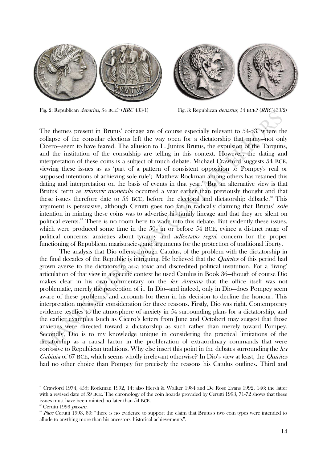



Fig. 2: Republican denarius, 54 BCE? (RRC 433/1) Fig. 3: Republican denarius, 54 BCE? (RRC 433/2)

The themes present in Brutus' coinage are of course especially relevant to 54-53, where the collapse of the consular elections left the way open for a dictatorship that many—not only Cicero—seem to have feared. The allusion to L. Junius Brutus, the expulsion of the Tarquins, and the institution of the consulship are telling in this context. However, the dating and interpretation of these coins is a subject of much debate. Michael Crawford suggests 54 BCE, viewing these issues as as 'part of a pattern of consistent opposition to Pompey's real or supposed intentions of achieving sole rule'; Matthew Rockman among others has retained this dating and interpretation on the basis of events in that year.<sup>81</sup> But an alternative view is that Brutus' term as *triumvir monetalis* occurred a year earlier than previously thought and that these issues therefore date to 55 BCE, before the electoral and dictatorship débacle.<sup>82</sup> This argument is persuasive, although Cerutti goes too far in radically claiming that Brutus' sole intention in minting these coins was to advertise his family lineage and that they are silent on political events.<sup>83</sup> There is no room here to wade into this debate. But evidently these issues, which were produced some time in the 50s in or before 54 BCE, evince a distinct range of political concerns: anxieties about tyranny and adfectatio regni, concern for the proper functioning of Republican magistracies, and arguments for the protection of traditional liberty.

The analysis that Dio offers, through Catulus, of the problem with the dictatorship in the final decades of the Republic is intriguing. He believed that the Quirites of this period had grown averse to the dictatorship as a toxic and discredited political institution. For a 'living' articulation of that view in a specific context he used Catulus in Book 36—though of course Dio makes clear in his own commentary on the lex Antonia that the office itself was not problematic, merely the perception of it. In Dio—and indeed, only in Dio—does Pompey seem aware of these problems, and accounts for them in his decision to decline the honour. This interpretation merits our consideration for three reasons. Firstly, Dio was right. Contemporary evidence testifies to the atmosphere of anxiety in 54 surrounding plans for a dictatorship, and the earlier examples (such as Cicero's letters from June and October) may suggest that those anxieties were directed toward a dictatorship as such rather than merely toward Pompey. Secondly, Dio is to my knowledge unique in considering the practical limitations of the dictatorship as a causal factor in the proliferation of extraordinary commands that were corrosive to Republican traditions. Why else insert this point in the debates surrounding the *lex* Gabinia of 67 BCE, which seems wholly irrelevant otherwise? In Dio's view at least, the Quirites had no other choice than Pompey for precisely the reasons his Catulus outlines. Third and

<sup>81</sup> Crawford 1974, 455; Rockman 1992, 14; also Hersh & Walker 1984 and De Rose Evans 1992, 146; the latter with a revised date of 59 BCE. The chronology of the coin hoards provided by Cerutti 1993, 71-72 shows that these issues must have been minted no later than 54 BCE.

<sup>&</sup>lt;sup>82</sup> Cerutti 1993 passim.

 $83$  Pace Cerutti 1993, 80: "there is no evidence to support the claim that Brutus's two coin types were intended to allude to anything more than his ancestors' historical achievements".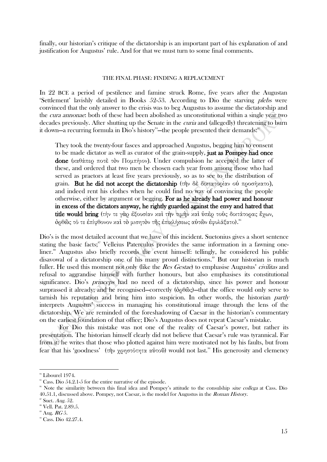finally, our historian's critique of the dictatorship is an important part of his explanation of and justification for Augustus' rule. And for that we must turn to some final comments.

#### THE FINAL PHASE: FINDING A REPLACEMENT

In 22 BCE a period of pestilence and famine struck Rome, five years after the Augustan 'Settlement' lavishly detailed in Books 52-53. According to Dio the starving plebs were convinced that the only answer to the crisis was to beg Augustus to assume the dictatorship and the *cura annonae*: both of these had been abolished as unconstitutional within a single year two decades previously. After shutting up the Senate in the *curia* and (allegedly) threatening to burn it down—a recurring formula in Dio's history<sup>84</sup>—the people presented their demands:<sup>85</sup>

They took the twenty-four fasces and approached Augustus, begging him to consent to be made dictator as well as curator of the grain-supply, just as Pompey had once **done** (καθάπερ ποτὲ τὸν Πομπήιον). Under compulsion he accepted the latter of these, and ordered that two men be chosen each year from among those who had served as praetors at least five years previously, so as to see to the distribution of grain. But he did not accept the dictatorship  $(\tau \dot{\eta} \dot{\gamma} \delta \dot{\epsilon})$  δικτατορίαν ού προσήκατο), and indeed rent his clothes when he could find no way of convincing the people otherwise, either by argument or begging. For as he already had power and honour in excess of the dictators anyway, he rightly guarded against the envy and hatred that title would bring (την τε γάρ έξουσίαν και την τιμήν και υπέρ τους δικτάτορας έγων,  $\dot{\rm q}$ οθώς τό τε έπίφθονον και το μισητον της έπικλήσεως αυτών έφυλά τοι.86

Dio's is the most detailed account that we have of this incident. Suetonius gives a short sentence stating the basic facts;<sup>87</sup> Velleius Paterculus provides the same information in a fawning oneliner.<sup>88</sup> Augustus also briefly records the event himself: tellingly, he considered his public disavowal of a dictatorship one of his many proud distinctions.<sup>89</sup> But our historian is much fuller. He used this moment not only (like the Res Gestae) to emphasise Augustus' civilitas and refusal to aggrandise himself with further honours, but also emphasises its constitutional significance. Dio's princeps had no need of a dictatorship, since his power and honour surprassed it already; and he recognised—correctly  $(\phi \partial \tilde{\omega} \partial \tilde{\omega})$ —that the office would only serve to tarnish his reputation and bring him into suspicion. In other words, the historian partly interprets Augustus' success in managing his constitutional image through the lens of the dictatorship. We are reminded of the foreshadowing of Caesar in the historian's commentary on the earliest foundation of that office; Dio's Augustus does not repeat Caesar's mistake.

For Dio this mistake was not one of the reality of Caesar's power, but rather its presentation. The historian himself clearly did not believe that Caesar's rule was tyrannical. Far from it: he writes that those who plotted against him were motivated not by his faults, but from fear that his 'goodness' (τὴν χρηστότητα αὐτοῦ) would not last.<sup>90</sup> His generosity and clemency

<sup>&</sup>lt;sup>84</sup> Libourel 1974.

 $85$  Cass. Dio 54.2.1-5 for the entire narrative of the episode.

<sup>&</sup>lt;sup>86</sup> Note the similarity between this final idea and Pompey's attitude to the consulship *sine collega* at Cass. Dio 40.51.1, discussed above. Pompey, not Caesar, is the model for Augustus in the *Roman History*.

 $\mathrm{^{87}}$  Suet. Aug. 52.

<sup>&</sup>lt;sup>88</sup> Vell. Pat. 2.89.5.

 $^{\circ\circ}$  Aug.  $RG5$ .

<sup>&</sup>lt;sup>90</sup> Cass. Dio 42.27.4.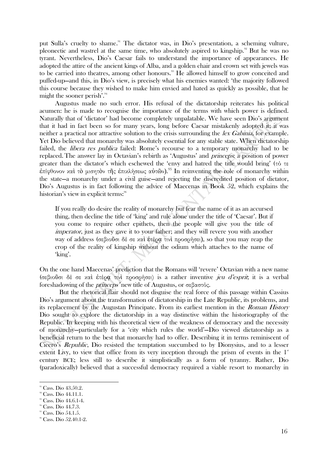put Sulla's cruelty to shame.<sup>91</sup> The dictator was, in Dio's presentation, a scheming vulture, pleonectic and wastrel at the same time, who absolutely aspired to kingship.<sup>92</sup> But he was no tyrant. Nevertheless, Dio's Caesar fails to understand the importance of appearances. He adopted the attire of the ancient kings of Alba, and a golden chair and crown set with jewels was to be carried into theatres, among other honours.<sup>93</sup> He allowed himself to grow conceited and puffed-up—and this, in Dio's view, is precisely what his enemies wanted: 'the majority followed this course because they wished to make him envied and hated as quickly as possible, that he might the sooner perish'. $^{94}$ 

Augustus made no such error. His refusal of the dictatorship reiterates his political acumen: he is made to recognise the importance of the terms with which power is defined. Naturally that of 'dictator' had become completely unpalatable. We have seen Dio's argument that it had in fact been so for many years, long before Caesar mistakenly adopted it; it was neither a practical nor attractive solution to the crisis surrounding the *lex Gabinia*, for example. Yet Dio believed that monarchy was absolutely essential for any stable state. When dictatorship failed, the *libera res publica* failed: Rome's recourse to a temporary monarchy had to be replaced.The answer lay in Octavian's rebirth as 'Augustus' and princeps: a position of power greater than the dictator's which eschewed the 'envy and hatred the title would bring' ( $\tau$ o  $\tau$  $\dot{\epsilon}$ πίωθονον καὶ τὸ μισητὸν τῆς ἐπικλήσεως αὐτῶν).<sup>95</sup> In reinventing the role of monarchy within the state—a monarchy under a civil guise—and rejecting the discredited position of dictator, Dio's Augustus is in fact following the advice of Maecenas in Book 52, which explains the historian's view in explicit terms:<sup>96</sup>

If you really do desire the reality of monarchy but fear the name of it as an accursed thing, then decline the title of 'king' and rule alone under the title of 'Caesar'. But if you come to require other epithets, then the people will give you the title of imperator, just as they gave it to your father; and they will revere you with another way of address (σεβιούσι δέ σε και ετέρα τινι προσρήσει), so that you may reap the crop of the reality of kingship without the odium which attaches to the name of 'king'.

On the one hand Maecenas' prediction that the Romans will 'revere' Octavian with a new name (σεβιούσι δέ σε και έτέρα τινι προσρήσει) is a rather inventive *jeu d'esprit*; it is a verbal foreshadowing of the *princeps*' new title of Augustus, or σεβαστός.

But the rhetorical flair should not disguise the real force of this passage within Cassius Dio's argument about the transformation of dictatorship in the Late Republic, its problems, and its replacement by the Augustan Principate. From its earliest mention in the Roman History Dio sought to explore the dictatorship in a way distinctive within the historiography of the Republic. In keeping with his theoretical view of the weakness of democracy and the necessity of monarchy—particularly for a 'city which rules the world'—Dio viewed dictatorship as a beneficial return to the best that monarchy had to offer. Describing it in terms reminiscent of Cicero's Republic, Dio resisted the temptation succumbed to by Dionysius, and to a lesser extent Livy, to view that office from its very inception through the prism of events in the  $1<sup>*</sup>$ century BCE; less still to describe it simplistically as a form of tyranny. Rather, Dio (paradoxically) believed that a successful democracy required a viable resort to monarchy in

Cass. Dio 43.50.2.

<sup>&</sup>lt;sup>92</sup> Cass. Dio 44.11.1.

Cass. Dio 44.6.1-4.

Cass. Dio 44.7.3.

 $\text{°}^5$  Cass. Dio 54.1.5.

<sup>&</sup>lt;sup>96</sup> Cass. Dio 52.40.1-2.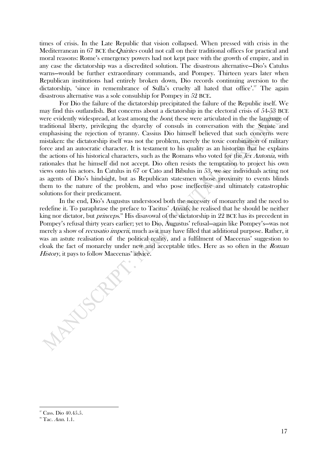times of crisis. In the Late Republic that vision collapsed. When pressed with crisis in the Mediterranean in 67 BCE the Quirites could not call on their traditional offices for practical and moral reasons: Rome's emergency powers had not kept pace with the growth of empire, and in any case the dictatorship was a discredited solution. The disastrous alternative—Dio's Catulus warns—would be further extraordinary commands, and Pompey. Thirteen years later when Republican institutions had entirely broken down, Dio records continuing aversion to the dictatorship, 'since in remembrance of Sulla's cruelty all hated that office'.<sup>97</sup> The again disastrous alternative was a sole consulship for Pompey in 52 BCE.

For Dio the failure of the dictatorship precipitated the failure of the Republic itself. We may find this outlandish. But concerns about a dictatorship in the electoral crisis of 54-53 BCE were evidently widespread, at least among the *boni*; these were articulated in the the language of traditional liberty, privileging the dyarchy of consuls in conversation with the Senate and emphasising the rejection of tyranny. Cassius Dio himself believed that such concerns were mistaken: the dictatorship itself was not the problem, merely the toxic combination of military force and an autocratic character. It is testament to his quality as an historian that he explains the actions of his historical characters, such as the Romans who voted for the *lex Antonia*, with rationales that he himself did not accept. Dio often resists the temptation to project his own views onto his actors. In Catulus in 67 or Cato and Bibulus in 53, we see individuals acting not as agents of Dio's hindsight, but as Republican statesmen whose proximity to events blinds them to the nature of the problem, and who pose ineffective and ultimately catastrophic solutions for their predicament.

In the end, Dio's Augustus understood both the necessity of monarchy and the need to redefine it. To paraphrase the preface to Tacitus' Annals, he realised that he should be neither king nor dictator, but *princeps*.<sup>38</sup> His disavowal of the dictatorship in 22 BCE has its precedent in Pompey's refusal thirty years earlier; yet to Dio, Augustus' refusal—again like Pompey's—was not merely a show of *recusatio imperii*, much as it may have filled that additional purpose. Rather, it was an astute realisation of the political reality, and a fulfilment of Maecenas' suggestion to cloak the fact of monarchy under new and acceptable titles. Here as so often in the Roman History, it pays to follow Maecenas' advice.

**USORS** 

Cass. Dio 40.45.5.

<sup>&</sup>lt;sup>98</sup> Tac. Ann. 1.1.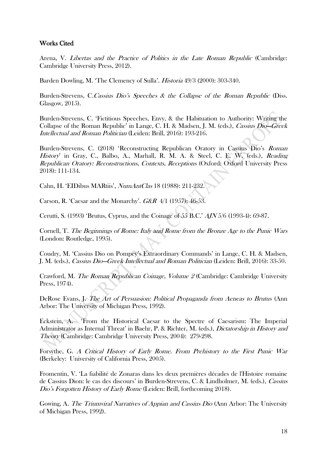#### Works Cited

Arena, V. Libertas and the Practice of Politics in the Late Roman Republic (Cambridge: Cambridge University Press, 2012).

Barden Dowling, M. 'The Clemency of Sulla'. Historia 49/3 (2000): 303-340.

Burden-Strevens, C.Cassius Dio's Speeches & the Collapse of the Roman Republic (Diss. Glasgow, 2015).

Burden-Strevens, C. 'Fictitious Speeches, Envy, & the Habituation to Authority: Writing the Collapse of the Roman Republic' in Lange, C. H. & Madsen, J. M. (eds.), Cassius Dio—Greek Intellectual and Roman Politician (Leiden: Brill, 2016): 193-216.

Burden-Strevens, C. (2018) 'Reconstructing Republican Oratory in Cassius Dio's Roman History' in Gray, C., Balbo, A., Marhall, R. M. A. & Steel, C. E. W. (eds.), Reading Republican Oratory: Reconstructions, Contexts, Receptions (Oxford: Oxford University Press 2018): 111-134.

Cahn, H. 'EIDibus MARtiis', NumAntClas 18 (1988): 211-232.

Carson, R. 'Caesar and the Monarchy'. G&R 4/1 (1957): 46-53.

Cerutti, S. (1993) 'Brutus, Cyprus, and the Coinage of 55 B.C.' AJN 5/6 (1993-4): 69-87.

Cornell, T. The Beginnings of Rome: Italy and Rome from the Bronze Age to the Punic Wars (London: Routledge, 1995).

Coudry, M. 'Cassius Dio on Pompey's Extraordinary Commands' in Lange, C. H. & Madsen, J. M. (eds.), Cassius Dio—Greek Intellectual and Roman Politician (Leiden: Brill, 2016): 33-50.

Crawford, M. The Roman Republican Coinage, Volume 2 (Cambridge: Cambridge University Press, 1974).

DeRose Evans, J. The Art of Persuasion: Political Propaganda from Aeneas to Brutus (Ann Arbor: The University of Michigan Press, 1992).

Eckstein, A. 'From the Historical Caesar to the Spectre of Caesarism: The Imperial Administrator as Internal Threat' in Baehr, P. & Richter, M. (eds.), *Dictatorship in History and* Theory (Cambridge: Cambridge University Press, 2004): 279-298.

Forsythe, G. A Critical History of Early Rome. From Prehistory to the First Punic War (Berkeley: University of California Press, 2005).

Fromentin, V. 'La fiabilité de Zonaras dans les deux premières décades de l'Histoire romaine de Cassius Dion: le cas des discours' in Burden-Strevens, C. & Lindholmer, M. (eds.), Cassius Dio's Forgotten History of Early Rome (Leiden: Brill, forthcoming 2018).

Gowing, A. The Triumviral Narratives of Appian and Cassius Dio (Ann Arbor: The University of Michigan Press, 1992).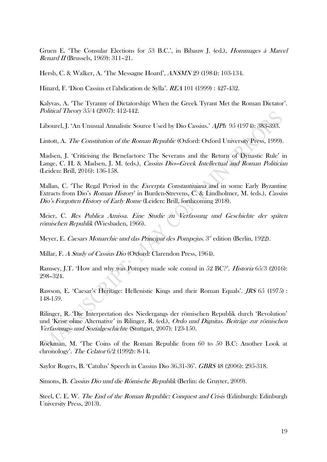Gruen E. 'The Consular Elections for 53 B.C.', in Bibauw J. (ed.), *Hommages à Marcel Renard II* (Brussels, 1969):  $311-21$ .

Hersh, C. & Walker, A. 'The Messagne Hoard', ANSMN 29 (1984): 103-134.

Hinard, F. 'Dion Cassius et l'abdication de Sylla'. REA 101 (1999) : 427-432.

Kalyvas, A. 'The Tyranny of Dictatorship: When the Greek Tyrant Met the Roman Dictator'. Political Theory 35/4 (2007): 412-442.

Libourel, J. 'An Unusual Annalistic Source Used by Dio Cassius.' AJPh 95 (1974): 383-393.

Lintott, A. The Constitution of the Roman Republic (Oxford: Oxford University Press, 1999).

Madsen, J. 'Criticising the Benefactors: The Severans and the Return of Dynastic Rule' in Lange, C. H. & Madsen, J. M. (eds.), Cassius Dio-Greek Intellectual and Roman Politician (Leiden: Brill, 2016): 136-158.

Mallan, C. The Regal Period in the *Excerpta Constantiniana* and in some Early Byzantine Extracts from Dio's Roman History' in Burden-Strevens, C. & Lindholmer, M. (eds.), Cassius Dio's Forgotten History of Early Rome (Leiden: Brill, forthcoming 2018).

Meier, C. Res Publica Amissa. Eine Studie zu Verfassung und Geschichte der späten römischen Republik (Wiesbaden, 1966).

Meyer, E. Caesars Monarchie und das Principat des Pompejus.  $3<sup>rd</sup>$  edition (Berlin, 1922).

Millar, F. A Study of Cassius Dio (Oxford: Clarendon Press, 1964).

Ramsey, J.T. 'How and why was Pompey made sole consul in 52 BC?'. Historia 65/3 (2016): 298–324.

Rawson, E. 'Caesar's Heritage: Hellenistic Kings and their Roman Equals'. JRS 65 (1975) : 148-159.

Rilinger, R. 'Die Interpretation des Niedergangs der römischen Republik durch 'Revolution' und 'Krise ohne Alternative' in Rilinger, R. (ed.), Ordo und Dignitas. Beiträge zur römischen Verfassungs- und Sozialgeschichte (Stuttgart, 2007): 123-150.

Rockman, M. 'The Coins of the Roman Republic from 60 to 50 B.C: Another Look at chronology'. The Celator 6/2 (1992): 8-14.

Saylor Rogers, B. 'Catulus' Speech in Cassius Dio 36.31-36'. GBRS 48 (2006): 295-318.

Simons, B. Cassius Dio und die Römische Republik (Berlin: de Gruyter, 2009).

Steel, C. E. W. *The End of the Roman Republic: Conquest and Crisis* (Edinburgh: Edinburgh University Press, 2013).